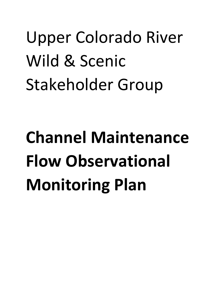# Upper Colorado River Wild & Scenic Stakeholder Group

# **Channel Maintenance Flow Observational Monitoring Plan**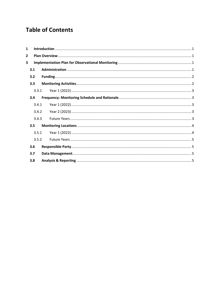# **Table of Contents**

| $\mathbf{1}$   |  |  |  |
|----------------|--|--|--|
| $\overline{2}$ |  |  |  |
| $\mathbf{3}$   |  |  |  |
| 3.1            |  |  |  |
| 3.2            |  |  |  |
| 3.3            |  |  |  |
| 3.3.1          |  |  |  |
| 3.4            |  |  |  |
| 3.4.1          |  |  |  |
| 3.4.2          |  |  |  |
| 3.4.3          |  |  |  |
| 3.5            |  |  |  |
| 3.5.1          |  |  |  |
| 3.5.2          |  |  |  |
| 3.6            |  |  |  |
| 3.7            |  |  |  |
| 3.8            |  |  |  |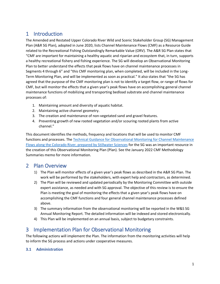# <span id="page-2-0"></span>1 Introduction

The Amended and Restated Upper Colorado River Wild and Scenic Stakeholder Group (SG) Management Plan (A&R SG Plan), adopted in June 2020, lists Channel Maintenance Flows (CMF) as a Resource Guide related to the Recreational Fishing Outstandingly Remarkable Value (ORV). The A&R SG Plan states that "CMF are important for maintaining a healthy aquatic and riparian and ecosystem that, in turn, supports a healthy recreational fishery and fishing experience. The SG will develop an Observational Monitoring Plan to better understand the effects that peak flows have on channel maintenance processes in Segments 4 through 6" and "this CMF monitoring plan, when completed, will be included in the Long-Term Monitoring Plan, and will be implemented as soon as practical." It also states that "the SG has agreed that the purpose of the CMF monitoring plan is not to identify a target flow, or range of flows for CMF, but will monitor the effects that a given year's peak flows have on accomplishing general channel maintenance functions of mobilizing and transporting bedload substrate and channel maintenance processes of:

- 1. Maintaining amount and diversity of aquatic habitat.
- 2. Maintaining active channel geometry.
- 3. The creation and maintenance of non-vegetated sand and gravel features.
- 4. Preventing growth of new rooted vegetation and/or scouring rooted plants from active channel."

This document identifies the methods, frequency and locations that will be used to monitor CMF functions and processes. Th[e Technical Guidance for Observational Monitoring for Channel Maintenance](https://www.upcowildandscenic.com/uploads/1/3/5/3/135388668/final_cmf_guidance_plan.pdf)  [Flows along the Colorado River, prepared by Stillwater Sciences](https://www.upcowildandscenic.com/uploads/1/3/5/3/135388668/final_cmf_guidance_plan.pdf) for the SG was an important resource in the creation of this Observational Monitoring Plan (Plan). See the January 2022 CMF Methodology Summaries memo for more information.

# <span id="page-2-1"></span>2 Plan Overview

- 1) The Plan will monitor effects of a given year's peak flows as described in the A&R SG Plan. The work will be performed by the stakeholders, with expert help and contractors, as determined.
- 2) The Plan will be reviewed and updated periodically by the Monitoring Committee with outside expert assistance, as needed and with SG approval. The objective of this review is to ensure the Plan is meeting the goal of monitoring the effects that a given year's peak flows have on accomplishing the CMF functions and four general channel maintenance processes defined above.
- 3) The summary information from the observational monitoring will be reported in the W&S SG Annual Monitoring Report. The detailed information will be indexed and stored electronically.
- 4) This Plan will be implemented on an annual basis, subject to budgetary constraints.

# <span id="page-2-2"></span>3 Implementation Plan for Observational Monitoring

The following actions will implement the Plan. The information from the monitoring activities will help to inform the SG process and actions under cooperative measures.

## <span id="page-2-3"></span>**3.1 Administration**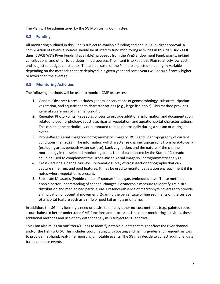The Plan will be administered by the SG Monitoring Committee.

# <span id="page-3-0"></span>**3.2 Funding**

All monitoring outlined in this Plan is subject to available funding and annual SG budget approval. A combination of revenue sources should be utilized to fund monitoring activities in this Plan, such as IG dues, CWCB W&S River Funds (if available), proceeds from the W&S Endowment Fund, grants, in-kind contributions, and other to-be-determined sources. The intent is to keep this Plan relatively low-cost and subject to budget constraints. The annual costs of the Plan are expected to be highly variable depending on the methods that are deployed in a given year and some years will be significantly higher or lower than the average.

## <span id="page-3-1"></span>**3.3 Monitoring Activities**

The following methods will be used to monitor CMF processes:

- 1. General Observer Notes: Includes general observations of geomorphology, substrate, riparian vegetation, and aquatic health characterizations (e.g., large fish pools). This method provides general awareness of channel condition.
- 2. Repeated Photo Points: Repeating photos to provide additional information and documentation related to geomorphology, substrate, riparian vegetation, and aquatic habitat characterizations. This can be done periodically or automated to take photos daily during a season or during an event.
- 3. Drone-Based Aerial Imagery/Photogrammetry: Imagery (RGB) and lidar topography of current conditions (i.e., 2023). The information will characterize channel topography from bank-to-bank (excluding areas beneath water surface), bank vegetation, and the nature of the channel morphology in the selected monitoring areas. Lidar data collected by the State of Colorado could be used to complement the Drone-Based Aerial Imagery/Photogrammetry analysis.
- 4. Cross-Sectional Channel Surveys: Systematic survey of cross-section topography that can capture riffle, run, and pool features. It may be used to monitor vegetation encroachment if it is noted where vegetation is present.
- 5. Substrate Measures (Pebble counts, % course/fine, algae, embeddedness): These methods enable better understanding of channel changes. Geomorphic measure to identify grain size distribution and median bed particle size. Presence/absence of macrophyte coverage to provide an indication of potential movement. Quantify the percentage of fine sediments on the surface of a habitat feature such as a riffle or pool tail using a grid frame.

In addition, the SG may identify a need or desire to employ other no-cost methods (e.g., painted rocks, scour chains) to better understand CMF functions and processes. Like other monitoring activities, these additional methods and use of any data for analysis is subject to SG approval.

This Plan also relies on outfitters/guides to identify notable events that might affect the river channel and/or the Fishing ORV. This includes coordinating with boating and fishing guides and frequent visitors to provide first-hand, real-time reporting of notable events. The SG may decide to collect additional data based on these events.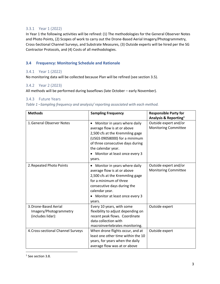#### <span id="page-4-0"></span>3.3.1 Year 1 (2022)

In Year 1 the following activities will be refined: (1) The methodologies for the General Observer Notes and Photo Points, (2) Scopes of work to carry out the Drone-Based Aerial Imagery/Photogrammetry, Cross-Sectional Channel Surveys, and Substrate Measures, (3) Outside experts will be hired per the SG Contractor Protocols, and (4) Costs of all methodologies.

# <span id="page-4-1"></span>**3.4 Frequency: Monitoring Schedule and Rationale**

## <span id="page-4-2"></span>3.4.1 Year 1 (2022)

No monitoring data will be collected because Plan will be refined (see section 3.5).

#### <span id="page-4-3"></span>3.4.2 Year 2 (2023)

All methods will be performed during baseflows (late October – early November).

#### <span id="page-4-4"></span>3.4.3 Future Years

| <b>Methods</b>                                                       | <b>Sampling Frequency</b>                                                                                                                                                                                                                         | <b>Responsible Party for</b><br>Analysis & Reporting <sup>1</sup> |
|----------------------------------------------------------------------|---------------------------------------------------------------------------------------------------------------------------------------------------------------------------------------------------------------------------------------------------|-------------------------------------------------------------------|
| 1. General Observer Notes                                            | Monitor in years where daily<br>$\bullet$<br>average flow is at or above<br>2,500 cfs at the Kremmling gage<br>(USGS 09058000) for a minimum<br>of three consecutive days during<br>the calendar year.<br>Monitor at least once every 3<br>years. | Outside expert and/or<br><b>Monitoring Committee</b>              |
| 2. Repeated Photo Points                                             | Monitor in years where daily<br>٠<br>average flow is at or above<br>2,500 cfs at the Kremmling gage<br>for a minimum of three<br>consecutive days during the<br>calendar year.<br>Monitor at least once every 3<br>years.                         | Outside expert and/or<br><b>Monitoring Committee</b>              |
| 3. Drone-Based Aerial<br>Imagery/Photogrammetry<br>(includes lidar): | Every 10 years, with some<br>flexibility to adjust depending on<br>recent peak flows. Coordinate<br>data collection with<br>macroinvertebrates monitoring.                                                                                        | Outside expert                                                    |
| 4. Cross-sectional Channel Surveys                                   | When drone flights occur, and at<br>least one other time within the 10<br>years, for years when the daily<br>average flow was at or above                                                                                                         | Outside expert                                                    |

 $1$  See section 3.8.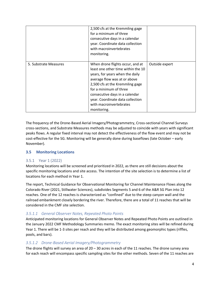|                       | 2,500 cfs at the Kremmling gage<br>for a minimum of three<br>consecutive days in a calendar<br>year. Coordinate data collection<br>with macroinvertebrates<br>monitoring.                                                                                                                                              |                |
|-----------------------|------------------------------------------------------------------------------------------------------------------------------------------------------------------------------------------------------------------------------------------------------------------------------------------------------------------------|----------------|
| 5. Substrate Measures | When drone flights occur, and at<br>least one other time within the 10<br>years, for years when the daily<br>average flow was at or above<br>2,500 cfs at the Kremmling gage<br>for a minimum of three<br>consecutive days in a calendar<br>year. Coordinate data collection<br>with macroinvertebrates<br>monitoring. | Outside expert |

The frequency of the Drone-Based Aerial Imagery/Photogrammetry, Cross-sectional Channel Surveys cross-sections, and Substrate Measures methods may be adjusted to coincide with years with significant peaks flows. A regular fixed interval may not detect the effectiveness of the flow event and may not be cost-effective for the SG. Monitoring will be generally done during baseflows (late October – early November).

## <span id="page-5-0"></span>**3.5 Monitoring Locations**

#### <span id="page-5-1"></span>3.5.1 Year 1 (2022)

Monitoring locations will be screened and prioritized in 2022, as there are still decisions about the specific monitoring locations and site access. The intention of the site selection is to determine a list of locations for each method in Year 1.

The report, Technical Guidance for Observational Monitoring for Channel Maintenance Flows along the Colorado River (2021, Stillwater Sciences), subdivides Segments 5 and 6 of the A&R SG Plan into 12 reaches. One of the 12 reaches is characterized as "confined" due to the steep canyon wall and the railroad embankment closely bordering the river. Therefore, there are a total of 11 reaches that will be considered in the CMF site selection.

#### *3.5.1.1 General Observer Notes, Repeated Photo Points*

Anticipated monitoring locations for General Observer Notes and Repeated Photo Points are outlined in the January 2022 CMF Methodology Summaries memo. The exact monitoring sites will be refined during Year 1. There will be 1-3 sites per reach and they will be distributed among geomorphic types (riffles, pools, and bars).

#### *3.5.1.2 Drone-Based Aerial Imagery/Photogrammetry*

The drone flights will survey an area of  $20 - 30$  acres in each of the 11 reaches. The drone survey area for each reach will encompass specific sampling sites for the other methods. Seven of the 11 reaches are